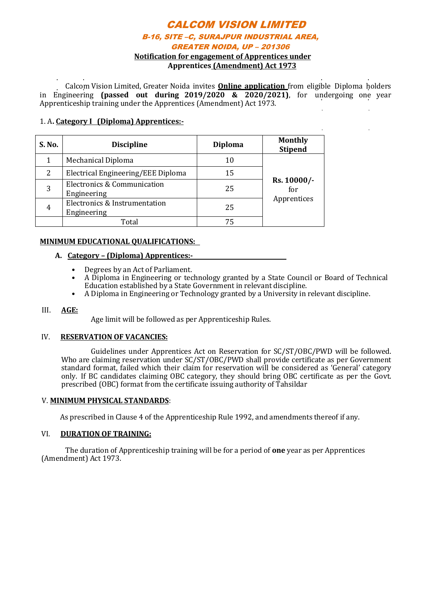## CALCOM VISION LIMITED B-16, SITE –C, SURAJPUR INDUSTRIAL AREA, GREATER NOIDA, UP – 201306 **Notification for engagement of Apprentices under**

**Apprentices (Amendment) Act 1973**

Calcom Vision Limited, Greater Noida invites **Online application** from eligible Diploma holders in Engineering **(passed out during 2019/2020 & 2020/2021)**, for undergoing one year Apprenticeship training under the Apprentices (Amendment) Act 1973.

#### 1. A**. Category I (Diploma) Apprentices:-**

| S. No. | <b>Discipline</b>                            | <b>Diploma</b> | <b>Monthly</b><br><b>Stipend</b>  |
|--------|----------------------------------------------|----------------|-----------------------------------|
|        | Mechanical Diploma                           | 10             | Rs. 10000/-<br>for<br>Apprentices |
| 2      | Electrical Engineering/EEE Diploma           | 15             |                                   |
| 3      | Electronics & Communication<br>Engineering   | 25             |                                   |
| 4      | Electronics & Instrumentation<br>Engineering | 25             |                                   |
|        | Total                                        | 75             |                                   |

#### **MINIMUM EDUCATIONAL QUALIFICATIONS:**

#### **A. Category – (Diploma) Apprentices:-**

- Degrees by an Act of Parliament.
- A Diploma in Engineering or technology granted by a State Council or Board of Technical Education established by a State Government in relevant discipline.
- A Diploma in Engineering or Technology granted by a University in relevant discipline.

#### III. **AGE:**

Age limit will be followed as per Apprenticeship Rules.

#### IV. **RESERVATION OF VACANCIES:**

Guidelines under Apprentices Act on Reservation for SC/ST/OBC/PWD will be followed. Who are claiming reservation under SC/ST/OBC/PWD shall provide certificate as per Government standard format, failed which their claim for reservation will be considered as 'General' category only. If BC candidates claiming OBC category, they should bring OBC certificate as per the Govt. prescribed (OBC) format from the certificate issuing authority of Tahsildar

#### V. **MINIMUM PHYSICAL STANDARDS**:

As prescribed in Clause 4 of the Apprenticeship Rule 1992, and amendments thereof if any.

#### VI. **DURATION OF TRAINING:**

The duration of Apprenticeship training will be for a period of **one** year as per Apprentices (Amendment) Act 1973.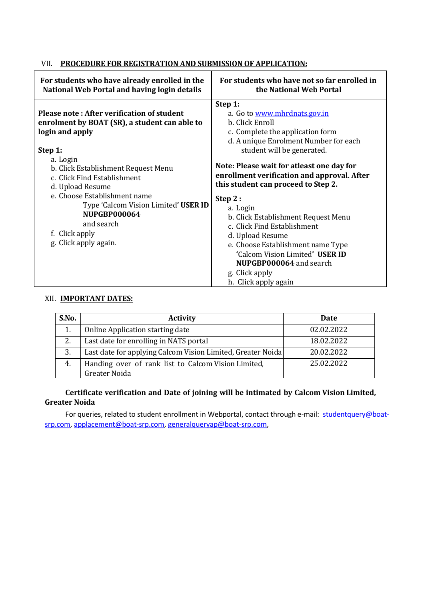### VII. **PROCEDURE FOR REGISTRATION AND SUBMISSION OF APPLICATION:**

| For students who have already enrolled in the                                                                                                                                                                                                                                                                                                                                           | For students who have not so far enrolled in                                                                                                                                                                                                                                                                                                                                                                                                                                                                                                                           |
|-----------------------------------------------------------------------------------------------------------------------------------------------------------------------------------------------------------------------------------------------------------------------------------------------------------------------------------------------------------------------------------------|------------------------------------------------------------------------------------------------------------------------------------------------------------------------------------------------------------------------------------------------------------------------------------------------------------------------------------------------------------------------------------------------------------------------------------------------------------------------------------------------------------------------------------------------------------------------|
| National Web Portal and having login details                                                                                                                                                                                                                                                                                                                                            | the National Web Portal                                                                                                                                                                                                                                                                                                                                                                                                                                                                                                                                                |
| Please note: After verification of student<br>enrolment by BOAT (SR), a student can able to<br>login and apply<br>Step 1:<br>a. Login<br>b. Click Establishment Request Menu<br>c. Click Find Establishment<br>d. Upload Resume<br>e. Choose Establishment name<br>Type 'Calcom Vision Limited' USER ID<br><b>NUPGBP000064</b><br>and search<br>f. Click apply<br>g. Click apply again. | Step 1:<br>a. Go to www.mhrdnats.gov.in<br>b. Click Enroll<br>c. Complete the application form<br>d. A unique Enrolment Number for each<br>student will be generated.<br>Note: Please wait for atleast one day for<br>enrollment verification and approval. After<br>this student can proceed to Step 2.<br>Step 2:<br>a. Login<br>b. Click Establishment Request Menu<br>c. Click Find Establishment<br>d. Upload Resume<br>e. Choose Establishment name Type<br>'Calcom Vision Limited' USER ID<br>NUPGBP000064 and search<br>g. Click apply<br>h. Click apply again |

#### XII. **IMPORTANT DATES:**

| S.No. | <b>Activity</b>                                             | Date       |
|-------|-------------------------------------------------------------|------------|
|       | Online Application starting date                            | 02.02.2022 |
| 2.    | Last date for enrolling in NATS portal                      | 18.02.2022 |
| 3.    | Last date for applying Calcom Vision Limited, Greater Noida | 20.02.2022 |
| 4.    | Handing over of rank list to Calcom Vision Limited,         | 25.02.2022 |
|       | Greater Noida                                               |            |

#### **Certificate verification and Date of joining will be intimated by Calcom Vision Limited, Greater Noida**

For queries, related to student enrollment in Webportal, contact through e-mail: [studentquery@boat](mailto:studentquery@boat-srp.com)[srp.com,](mailto:studentquery@boat-srp.com) [applacement@boat-srp.com,](mailto:applacement@boat-srp.com) [generalqueryap@boat-srp.com,](mailto:applacement@boat-srp.com)